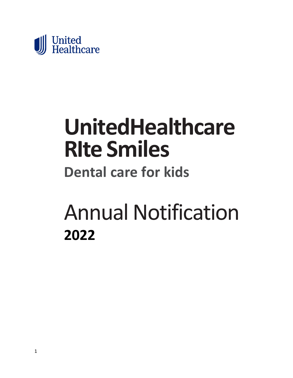

# **UnitedHealthcare RIte Smiles**

# **Dental care for kids**

# Annual Notification **2022**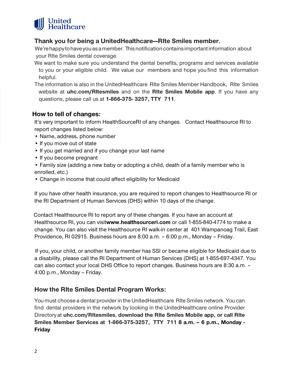

## **Thank you for being a UnitedHealthcare—RIte Smiles member.**

We're happy to have you as a member. This notification contains important information about your RIte Smiles dental coverage.

- We want to make sure you understand the dental benefits, programs and services available to you or your eligible child. We value our members and hope you find this information helpful.
- The information is also in the UnitedHealthcare RIte Smiles Member Handbook, RIte Smiles website at **uhc.com/RItesmiles** and on the **RIte Smiles Mobile app**. If you have any questions, please call us at **1-866-375- 3257, TTY 711**.

## **How to tell of changes:**

It's very important to inform HealthSourceRI of any changes. Contact Healthsource RI to report changes listed below:

- Name, address, phone number
- If you move out of state
- If you get married and if you change your last name
- If you become pregnant
- Family size (adding a new baby or adopting a child, death of a family member who is enrolled, etc.)
- Change in income that could affect eligibility for Medicaid

If you have other health insurance, you are required to report changes to Healthsource RI or the RI Department of Human Services (DHS) within 10 days of the change.

 Contact Healthsource RI to report any of these changes. If you have an account at Healthsource RI, you can visit**www.healthsourceri.com** or call 1-855-840-4774 to make a change. You can also visit the Healthsource RI walk-in center at 401 Wampanoag Trail, East Providence, RI 02915. Business hours are 8:00 a.m. – 6:00 p.m., Monday – Friday.

 If you, your child, or another family member has SSI or became eligible for Medicaid due to a disability, please call the RI Department of Human Services (DHS) at 1-855-697-4347. You can also contact your local DHS Office to report changes. Business hours are 8:30 a.m. – 4:00 p.m., Monday – Friday.

# **How the RIte Smiles Dental Program Works:**

You must choose a dental provider in the UnitedHealthcare RIte Smiles network. You can find dental providers in the network by looking in the UnitedHealthcare online Provider Directory at **uhc.com/RItesmiles**, **download the RIte Smiles Mobile app, or call RIte Smiles Member Services at 1-866-375-3257, TTY 711 8 a.m. – 6 p.m., Monday - Friday**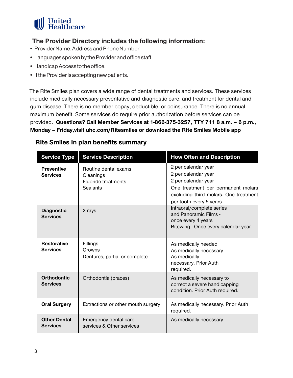

# **The Provider Directory includes the following information:**

- Provider Name, Address and Phone Number.
- Languages spoken by the Provider and office staff.
- Handicap Access to the office.
- If the Provider is accepting new patients.

 The RIte Smiles plan covers a wide range of dental treatments and services. These services include medically necessary preventative and diagnostic care, and treatment for dental and gum disease. There is no member copay, deductible, or coinsurance. There is no annual maximum benefit. Some services do require prior authorization before services can be provided. **Questions? Call Member Services at 1-866-375-3257, TTY 711 8 a.m. – 6 p.m., Monday – Friday,visit uhc.com/Ritesmiles or download the RIte Smiles Mobile app**

| <b>Service Type</b>                    | <b>Service Description</b>                                                  | <b>How Often and Description</b>                                                                                                                                            |
|----------------------------------------|-----------------------------------------------------------------------------|-----------------------------------------------------------------------------------------------------------------------------------------------------------------------------|
| <b>Preventive</b><br><b>Services</b>   | Routine dental exams<br>Cleanings<br><b>Fluoride treatments</b><br>Sealants | 2 per calendar year<br>2 per calendar year<br>2 per calendar year<br>One treatment per permanent molars<br>excluding third molars. One treatment<br>per tooth every 5 years |
| <b>Diagnostic</b><br><b>Services</b>   | X-rays                                                                      | Intraoral/complete series<br>and Panoramic Films -<br>once every 4 years<br>Bitewing - Once every calendar year                                                             |
| <b>Restorative</b><br><b>Services</b>  | Fillings<br>Crowns<br>Dentures, partial or complete                         | As medically needed<br>As medically necessary<br>As medically<br>necessary. Prior Auth<br>required.                                                                         |
| <b>Orthodontic</b><br><b>Services</b>  | Orthodontia (braces)                                                        | As medically necessary to<br>correct a severe handicapping<br>condition. Prior Auth required.                                                                               |
| <b>Oral Surgery</b>                    | Extractions or other mouth surgery                                          | As medically necessary. Prior Auth<br>required.                                                                                                                             |
| <b>Other Dental</b><br><b>Services</b> | Emergency dental care<br>services & Other services                          | As medically necessary                                                                                                                                                      |

# **RIte Smiles In plan benefits summary**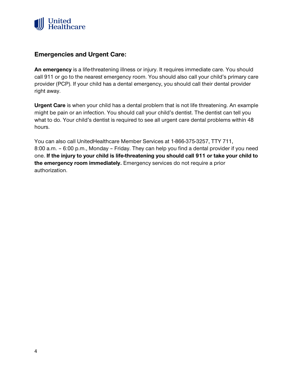

## **Emergencies and Urgent Care:**

**An emergency** is a life-threatening illness or injury. It requires immediate care. You should call 911 or go to the nearest emergency room. You should also call your child's primary care provider (PCP). If your child has a dental emergency, you should call their dental provider right away.

**Urgent Care** is when your child has a dental problem that is not life threatening. An example might be pain or an infection. You should call your child's dentist. The dentist can tell you what to do. Your child's dentist is required to see all urgent care dental problems within 48 hours.

You can also call UnitedHealthcare Member Services at 1-866-375-3257, TTY 711, 8:00 a.m. – 6:00 p.m., Monday – Friday. They can help you find a dental provider if you need one. **If the injury to your child is life-threatening you should call 911 or take your child to the emergency room immediately.** Emergency services do not require a prior authorization.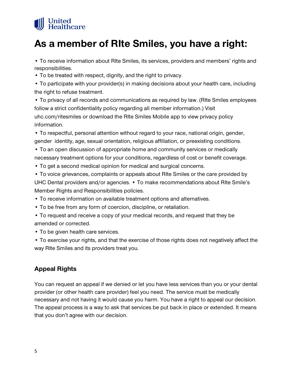# **United<br>Healthcare**

# **As a member of RIte Smiles, you have a right:**

• To receive information about RIte Smiles, its services, providers and members' rights and responsibilities.

• To be treated with respect, dignity, and the right to privacy.

• To participate with your provider(s) in making decisions about your health care, including the right to refuse treatment.

• To privacy of all records and communications as required by law. (RIte Smiles employees follow a strict confidentiality policy regarding all member information.) Visit uhc.com/ritesmiles or download the RIte Smiles Mobile app to view privacy policy information.

• To respectful, personal attention without regard to your race, national origin, gender, gender identity, age, sexual orientation, religious affiliation, or preexisting conditions.

• To an open discussion of appropriate home and community services or medically necessary treatment options for your conditions, regardless of cost or benefit coverage.

• To get a second medical opinion for medical and surgical concerns.

• To voice grievances, complaints or appeals about RIte Smiles or the care provided by UHC Dental providers and/or agencies. • To make recommendations about RIte Smile's Member Rights and Responsibilities policies.

• To receive information on available treatment options and alternatives.

- To be free from any form of coercion, discipline, or retaliation.
- To request and receive a copy of your medical records, and request that they be amended or corrected.
- To be given health care services.

• To exercise your rights, and that the exercise of those rights does not negatively affect the way RIte Smiles and its providers treat you.

# **Appeal Rights**

You can request an appeal if we denied or let you have less services than you or your dental provider (or other health care provider) feel you need. The service must be medically necessary and not having it would cause you harm. You have a right to appeal our decision. The appeal process is a way to ask that services be put back in place or extended. It means that you don't agree with our decision.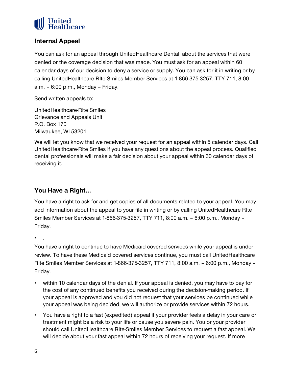

# **Internal Appeal**

You can ask for an appeal through UnitedHealthcare Dental about the services that were denied or the coverage decision that was made. You must ask for an appeal within 60 calendar days of our decision to deny a service or supply. You can ask for it in writing or by calling UnitedHealthcare RIte Smiles Member Services at 1-866-375-3257, TTY 711, 8:00 a.m. – 6:00 p.m., Monday – Friday.

Send written appeals to:

UnitedHealthcare-RIte Smiles Grievance and Appeals Unit P.O. Box 170 Milwaukee, WI 53201

We will let you know that we received your request for an appeal within 5 calendar days. Call UnitedHealthcare-RIte Smiles if you have any questions about the appeal process. Qualified dental professionals will make a fair decision about your appeal within 30 calendar days of receiving it.

# **You Have a Right…**

You have a right to ask for and get copies of all documents related to your appeal. You may add information about the appeal to your file in writing or by calling UnitedHealthcare RIte Smiles Member Services at 1-866-375-3257, TTY 711, 8:00 a.m. – 6:00 p.m., Monday – Friday.

• .

You have a right to continue to have Medicaid covered services while your appeal is under review. To have these Medicaid covered services continue, you must call UnitedHealthcare RIte Smiles Member Services at 1-866-375-3257, TTY 711, 8:00 a.m. – 6:00 p.m., Monday – Friday.

- within 10 calendar days of the denial. If your appeal is denied, you may have to pay for the cost of any continued benefits you received during the decision-making period. If your appeal is approved and you did not request that your services be continued while your appeal was being decided, we will authorize or provide services within 72 hours.
- You have a right to a fast (expedited) appeal if your provider feels a delay in your care or treatment might be a risk to your life or cause you severe pain. You or your provider should call UnitedHealthcare RIte-Smiles Member Services to request a fast appeal. We will decide about your fast appeal within 72 hours of receiving your request. If more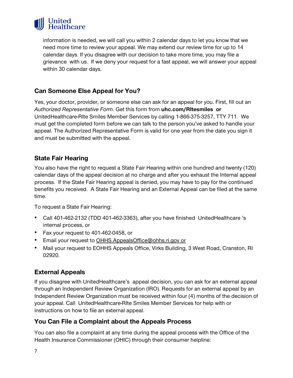

information is needed, we will call you within 2 calendar days to let you know that we need more time to review your appeal. We may extend our review time for up to 14 calendar days. If you disagree with our decision to take more time, you may file a grievance with us. If we deny your request for a fast appeal, we will answer your appeal within 30 calendar days.

# **Can Someone Else Appeal for You?**

Yes, your doctor, provider, or someone else can ask for an appeal for you. First, fill out an *Authorized Representative Form*. Get this form from **uhc.com/RItesmiles or**  UnitedHealthcare-RIte Smiles Member Services by calling 1-866-375-3257, TTY 711. We must get the completed form before we can talk to the person you've asked to handle your appeal. The Authorized Representative Form is valid for one year from the date you sign it and must be submitted with the appeal.

# **State Fair Hearing**

You also have the right to request a State Fair Hearing within one hundred and twenty (120) calendar days of the appeal decision at no charge and after you exhaust the Internal appeal process. If the State Fair Hearing appeal is denied, you may have to pay for the continued benefits you received. A State Fair Hearing and an External Appeal can be filed at the same time.

To request a State Fair Hearing:

- Call 401-462-2132 (TDD 401-462-3363), after you have finished UnitedHealthcare 's internal process, or
- Fax your request to 401-462-0458, or
- Email your request to [OHHS.AppealsOffice@ohhs.ri.gov](mailto:OHHS.AppealsOffice@ohhs.ri.gov) or
- Mail your request to EOHHS Appeals Office, Virks Building, 3 West Road, Cranston, RI 02920.

## **External Appeals**

If you disagree with UnitedHealthcare's appeal decision, you can ask for an external appeal through an Independent Review Organization (IRO). Requests for an external appeal by an Independent Review Organization must be received within four (4) months of the decision of your appeal. Call UnitedHealthcare-RIte Smiles Member Services for help with or instructions on how to file an external appeal.

## **You Can File a Complaint about the Appeals Process**

You can also file a complaint at any time during the appeal process with the Office of the Health Insurance Commissioner (OHIC) through their consumer helpline: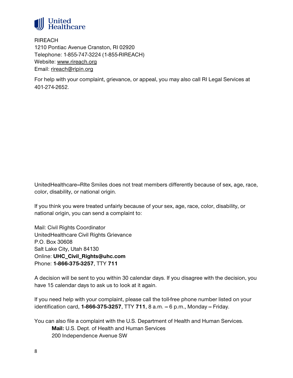

**RIREACH** 1210 Pontiac Avenue Cranston, RI 02920 Telephone: 1-855-747-3224 (1-855-RIREACH) Website: [www.rireach.org](http://www.rireach.org/) Email: [rireach@ripin.org](mailto:rireach@ripin.org)

For help with your complaint, grievance, or appeal, you may also call RI Legal Services at 401-274-2652.

UnitedHealthcare–RIte Smiles does not treat members differently because of sex, age, race, color, disability, or national origin.

If you think you were treated unfairly because of your sex, age, race, color, disability, or national origin, you can send a complaint to:

Mail: Civil Rights Coordinator UnitedHealthcare Civil Rights Grievance P.O. Box 30608 Salt Lake City, Utah 84130 Online: **UHC\_Civil\_Rights@uhc.com** Phone: **1-866-375-3257**, TTY **711**

A decision will be sent to you within 30 calendar days. If you disagree with the decision, you have 15 calendar days to ask us to look at it again.

If you need help with your complaint, please call the toll-free phone number listed on your identification card, **1-866-375-3257**, TTY 711, 8 a.m. - 6 p.m., Monday -- Friday.

You can also file a complaint with the U.S. Department of Health and Human Services. **Mail:** U.S. Dept. of Health and Human Services 200 Independence Avenue SW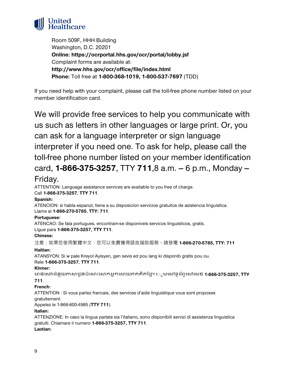

Room 509F, HHH Building Washington, D.C. 20201 **Online: https://ocrportal.hhs.gov/ocr/portal/lobby.jsf** Complaint forms are available at: **http://www.hhs.gov/ocr/office/file/index.html Phone:** Toll free at **1-800-368-1019, 1-800-537-7697** (TDD)

If you need help with your complaint, please call the toll-free phone number listed on your member identification card.

We will provide free services to help you communicate with us such as letters in other languages or large print. Or, you can ask for a language interpreter or sign language interpreter if you need one. To ask for help, please call the toll-free phone number listed on your member identification card, 1-866-375-3257, TTY 711,8 a.m. - 6 p.m., Monday --

# Friday.

ATTENTION: Language assistance services are available to you free of charge. Call **1-866-375-3257**, **TTY 711**.

#### **Spanish:**

ATENCION: si habla espanol, tiene a su disposicion servicios gratuitos de asistencia linguistica. Llame al **1-866-270-5785**, **TTY: 711**.

#### **Portuguese:**

ATENCAO: Se fala portugues, encontram-se disponiveis servicos linguisticos, gratis. Ligue para **1-866-375-3257, TTY 711**.

#### **Chinese:**

注意:如果您使用繁體中文,您可以免費獲得語言援助服務。請致電 **1-866-270-5785, TTY: 711**

#### **Haitian:**

ATANSYON: Si w pale Kreyol Ayisyen, gen sevis ed pou lang ki disponib gratis pou ou. Rele **1-866-375-3257**, **TTY 711**.

#### **Khmer:**

�នេស�ជំនួយ��ជូនចំេ�ះេ�កអ�កេ�យឥតគិតៃថ�។ េ◌◌ូមេ�ទូេរ �ព�េ�េសខ **1-866-375-3257, TTY** 

#### **711**.

#### **French:**

ATTENTION : Si vous parlez francais, des services d'aide linguistique vous sont proposes gratuitement.

Appelez le 1-866-600-4985 (**TTY 711**).

#### **Italian:**

ATTENZIONE: In caso la lingua parlata sia l'italiano, sono disponibili servizi di assistenza linguistica gratuiti. Chiamare il numero **1-866-375-3257, TTY 711**.

#### **Laotian:**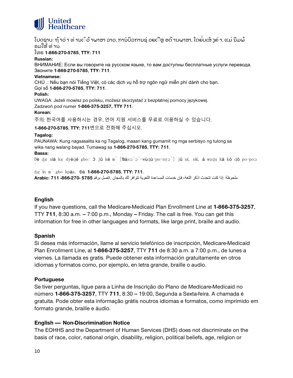

ໂປດຊາບ: ຖ້າວ່ າ ທ່ານເົວ້າພາສາ ລາວ, ການປິລການຊ່ ວຍເືຫຼ ອດ້ານພາສາ, ໂດຍ່ບເສັ ງຄ່າ, ແມ່ ນີມພ້ ອມໃຫ້ ທ່ ານ.

#### ໂທຣ **1-866-270-5785**, **TTY: 711**

#### **Russian:**

ВНИМАНИЕ: Если вы говорите на русском языке, то вам доступны бесплатные услуги перевода. Звоните **1-866-270-5785**, **TTY: 711**.

#### **Vietnamese:**

CHÚ .: Nếu bạn nói Tiếng Việt, có các dịch vụ hỗ trợ ngôn ngữ miễn phí dành cho bạn. Gọi số **1-866-270-5785**, **TTY: 711**.

#### **Polish:**

UWAGA: Jeżeli mowisz po polsku, możesz skorzystać z bezpłatnej pomocy językowej. Zadzwoń pod numer **1-866-375-3257, TTY 711**.

#### **Korean:**

주의: 한국어를 사용하시는 경우, 언어 지원 서비스를 무료로 이용하실 수 있습니다.

**1-866-270-5785**, **TTY: 711**번으로 전화해 주십시오.

#### **Tagalog:**

PAUNAWA: Kung nagsasalita ka ng Tagalog, maaari kang gumamit ng mga serbisyo ng tulong sa wika nang walang bayad. Tumawag sa **1-866-270-5785**, **TTY: 711**.

#### **Bassa:**

̀

Dè ɖɛ nìà kɛ dyéɖé gbo: Ɔ jǔ ké m̀ [Ɓàsɔ́ɔ̀-wùɖù-po-nyɔ̀] jǔ ní, nìí, à wuɖu kà kò ɖò po-poɔ

ɓɛ́ìn m̀ gbo kpáa. Ɖá **1-866-270-5785**, **TTY: 711**.

ملحوظة :إذا كنت تتحدث اذكر اللغة، فإن خدمات المساعدة اللغویة تتوافر لك بالمجان .اتصل برقم **5785 -866-270- 711 :Arabic**

#### **English**

If you have questions, call the Medicare-Medicaid Plan Enrollment Line at **1-866-375-3257**, TTY **711**, 8:30 a.m.  $-7:00$  p.m., Monday  $-$  Friday. The call is free. You can get this information for free in other languages and formats, like large print, braille and audio.

#### **Spanish**

Si desea más información, llame al servicio telefónico de inscripción, Medicare-Medicaid Plan Enrollment Line, al **1-866-375-3257**, TTY **711** de 8:30 a.m. a 7:00 p.m., de lunes a viernes. La llamada es gratis. Puede obtener esta información gratuitamente en otros idiomas y formatos como, por ejemplo, en letra grande, braille o audio.

#### **Portuguese**

Se tiver perguntas, ligue para a Linha de Inscrição do Plano de Medicare-Medicaid no número **1-866-375-3257**, TTY 711, 8:30 - 19:00, Segunda a Sexta-feira. A chamada é gratuita. Pode obter esta informação grátis noutros idiomas e formatos, como imprimido em formato grande, braille e áudio.

#### **English -- Non-Discrimination Notice**

The EOHHS and the Department of Human Services (DHS) does not discriminate on the basis of race, color, national origin, disability, religion, political beliefs, age, religion or